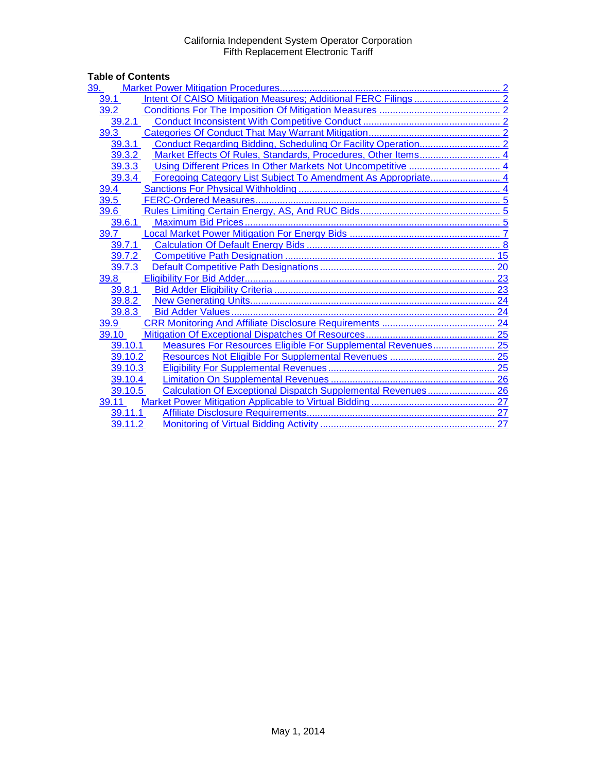# Table of Contents<br>
<u>39. Market Pow</u>

| 39.                                                                     |  |
|-------------------------------------------------------------------------|--|
| 39.1                                                                    |  |
| 39.2                                                                    |  |
| 39.2.1                                                                  |  |
| 39.3                                                                    |  |
| 39.3.1                                                                  |  |
| Market Effects Of Rules, Standards, Procedures, Other Items 4<br>39.3.2 |  |
| 39.3.3                                                                  |  |
| 39.3.4                                                                  |  |
| 39.4                                                                    |  |
| 39.5                                                                    |  |
| 39.6                                                                    |  |
| 39.6.1                                                                  |  |
| 39.7                                                                    |  |
| 39.7.1                                                                  |  |
| 39.7.2                                                                  |  |
| 39.7.3                                                                  |  |
| 39.8                                                                    |  |
| 39.8.1                                                                  |  |
| 39.8.2                                                                  |  |
| 39.8.3                                                                  |  |
| 39.9                                                                    |  |
| 39.10                                                                   |  |
| Measures For Resources Eligible For Supplemental Revenues 25<br>39.10.1 |  |
| 39.10.2                                                                 |  |
| 39.10.3                                                                 |  |
| 39.10.4                                                                 |  |
| Calculation Of Exceptional Dispatch Supplemental Revenues 26<br>39.10.5 |  |
| 39.11                                                                   |  |
| 39.11.1                                                                 |  |
| 39.11.2                                                                 |  |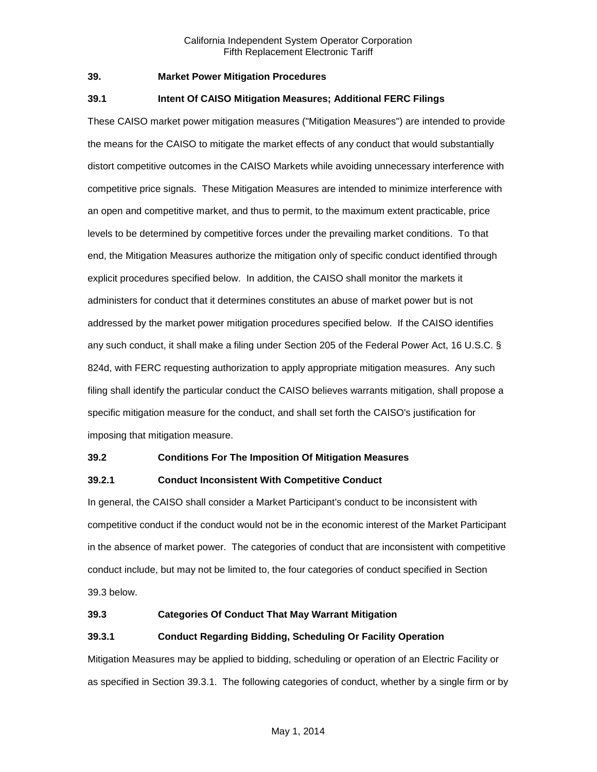#### <span id="page-1-0"></span>**39. Market Power Mitigation Procedures**

# <span id="page-1-1"></span>**39.1 Intent Of CAISO Mitigation Measures; Additional FERC Filings**

These CAISO market power mitigation measures ("Mitigation Measures") are intended to provide the means for the CAISO to mitigate the market effects of any conduct that would substantially distort competitive outcomes in the CAISO Markets while avoiding unnecessary interference with competitive price signals. These Mitigation Measures are intended to minimize interference with an open and competitive market, and thus to permit, to the maximum extent practicable, price levels to be determined by competitive forces under the prevailing market conditions. To that end, the Mitigation Measures authorize the mitigation only of specific conduct identified through explicit procedures specified below. In addition, the CAISO shall monitor the markets it administers for conduct that it determines constitutes an abuse of market power but is not addressed by the market power mitigation procedures specified below. If the CAISO identifies any such conduct, it shall make a filing under Section 205 of the Federal Power Act, 16 U.S.C. § 824d, with FERC requesting authorization to apply appropriate mitigation measures. Any such filing shall identify the particular conduct the CAISO believes warrants mitigation, shall propose a specific mitigation measure for the conduct, and shall set forth the CAISO's justification for imposing that mitigation measure.

#### <span id="page-1-2"></span>**39.2 Conditions For The Imposition Of Mitigation Measures**

# <span id="page-1-3"></span>**39.2.1 Conduct Inconsistent With Competitive Conduct**

In general, the CAISO shall consider a Market Participant's conduct to be inconsistent with competitive conduct if the conduct would not be in the economic interest of the Market Participant in the absence of market power. The categories of conduct that are inconsistent with competitive conduct include, but may not be limited to, the four categories of conduct specified in Section 39.3 below.

#### <span id="page-1-4"></span>**39.3 Categories Of Conduct That May Warrant Mitigation**

# <span id="page-1-5"></span>**39.3.1 Conduct Regarding Bidding, Scheduling Or Facility Operation**

Mitigation Measures may be applied to bidding, scheduling or operation of an Electric Facility or as specified in Section 39.3.1. The following categories of conduct, whether by a single firm or by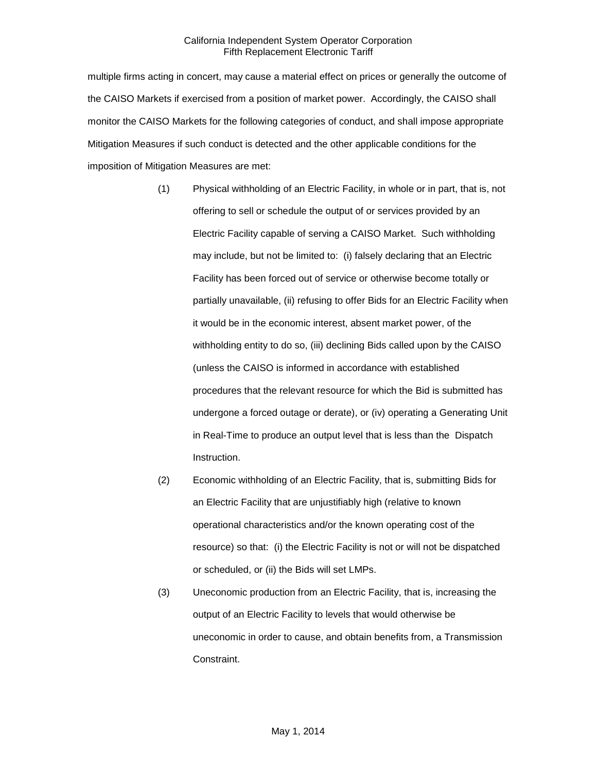multiple firms acting in concert, may cause a material effect on prices or generally the outcome of the CAISO Markets if exercised from a position of market power. Accordingly, the CAISO shall monitor the CAISO Markets for the following categories of conduct, and shall impose appropriate Mitigation Measures if such conduct is detected and the other applicable conditions for the imposition of Mitigation Measures are met:

- (1) Physical withholding of an Electric Facility, in whole or in part, that is, not offering to sell or schedule the output of or services provided by an Electric Facility capable of serving a CAISO Market. Such withholding may include, but not be limited to: (i) falsely declaring that an Electric Facility has been forced out of service or otherwise become totally or partially unavailable, (ii) refusing to offer Bids for an Electric Facility when it would be in the economic interest, absent market power, of the withholding entity to do so, (iii) declining Bids called upon by the CAISO (unless the CAISO is informed in accordance with established procedures that the relevant resource for which the Bid is submitted has undergone a forced outage or derate), or (iv) operating a Generating Unit in Real-Time to produce an output level that is less than the Dispatch Instruction.
- (2) Economic withholding of an Electric Facility, that is, submitting Bids for an Electric Facility that are unjustifiably high (relative to known operational characteristics and/or the known operating cost of the resource) so that: (i) the Electric Facility is not or will not be dispatched or scheduled, or (ii) the Bids will set LMPs.
- (3) Uneconomic production from an Electric Facility, that is, increasing the output of an Electric Facility to levels that would otherwise be uneconomic in order to cause, and obtain benefits from, a Transmission Constraint.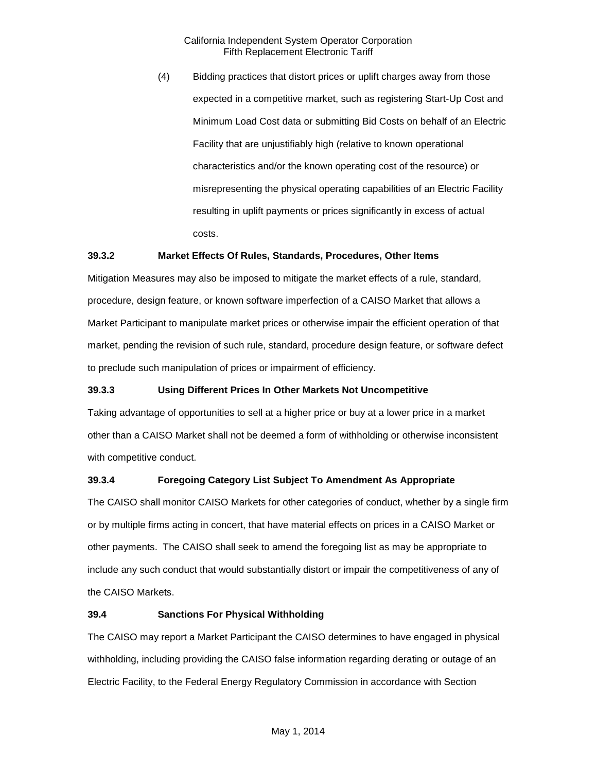(4) Bidding practices that distort prices or uplift charges away from those expected in a competitive market, such as registering Start-Up Cost and Minimum Load Cost data or submitting Bid Costs on behalf of an Electric Facility that are unjustifiably high (relative to known operational characteristics and/or the known operating cost of the resource) or misrepresenting the physical operating capabilities of an Electric Facility resulting in uplift payments or prices significantly in excess of actual costs.

#### <span id="page-3-0"></span>**39.3.2 Market Effects Of Rules, Standards, Procedures, Other Items**

Mitigation Measures may also be imposed to mitigate the market effects of a rule, standard, procedure, design feature, or known software imperfection of a CAISO Market that allows a Market Participant to manipulate market prices or otherwise impair the efficient operation of that market, pending the revision of such rule, standard, procedure design feature, or software defect to preclude such manipulation of prices or impairment of efficiency.

# <span id="page-3-1"></span>**39.3.3 Using Different Prices In Other Markets Not Uncompetitive**

Taking advantage of opportunities to sell at a higher price or buy at a lower price in a market other than a CAISO Market shall not be deemed a form of withholding or otherwise inconsistent with competitive conduct.

# <span id="page-3-2"></span>**39.3.4 Foregoing Category List Subject To Amendment As Appropriate**

The CAISO shall monitor CAISO Markets for other categories of conduct, whether by a single firm or by multiple firms acting in concert, that have material effects on prices in a CAISO Market or other payments. The CAISO shall seek to amend the foregoing list as may be appropriate to include any such conduct that would substantially distort or impair the competitiveness of any of the CAISO Markets.

#### <span id="page-3-3"></span>**39.4 Sanctions For Physical Withholding**

The CAISO may report a Market Participant the CAISO determines to have engaged in physical withholding, including providing the CAISO false information regarding derating or outage of an Electric Facility, to the Federal Energy Regulatory Commission in accordance with Section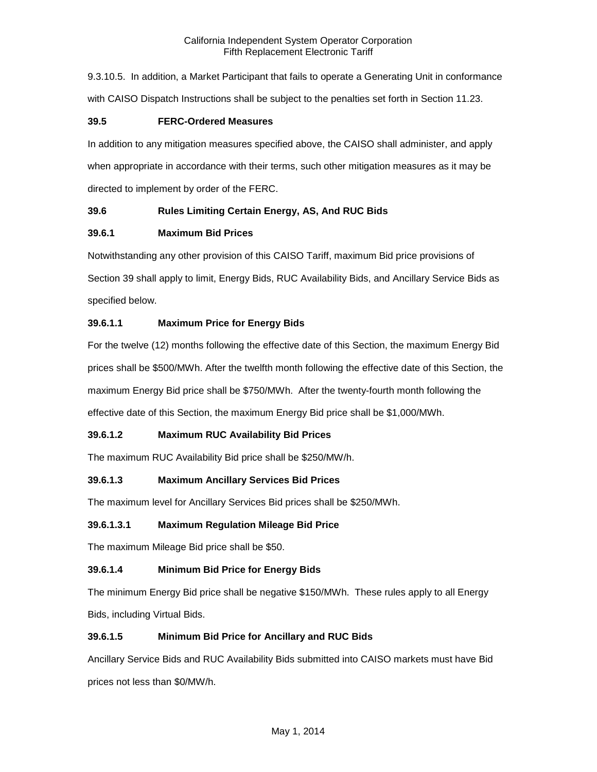9.3.10.5. In addition, a Market Participant that fails to operate a Generating Unit in conformance with CAISO Dispatch Instructions shall be subject to the penalties set forth in Section 11.23.

# <span id="page-4-0"></span>**39.5 FERC-Ordered Measures**

In addition to any mitigation measures specified above, the CAISO shall administer, and apply when appropriate in accordance with their terms, such other mitigation measures as it may be directed to implement by order of the FERC.

# <span id="page-4-1"></span>**39.6 Rules Limiting Certain Energy, AS, And RUC Bids**

# <span id="page-4-2"></span>**39.6.1 Maximum Bid Prices**

Notwithstanding any other provision of this CAISO Tariff, maximum Bid price provisions of Section 39 shall apply to limit, Energy Bids, RUC Availability Bids, and Ancillary Service Bids as specified below.

# **39.6.1.1 Maximum Price for Energy Bids**

For the twelve (12) months following the effective date of this Section, the maximum Energy Bid prices shall be \$500/MWh. After the twelfth month following the effective date of this Section, the maximum Energy Bid price shall be \$750/MWh. After the twenty-fourth month following the effective date of this Section, the maximum Energy Bid price shall be \$1,000/MWh.

# **39.6.1.2 Maximum RUC Availability Bid Prices**

The maximum RUC Availability Bid price shall be \$250/MW/h.

# **39.6.1.3 Maximum Ancillary Services Bid Prices**

The maximum level for Ancillary Services Bid prices shall be \$250/MWh.

#### **39.6.1.3.1 Maximum Regulation Mileage Bid Price**

The maximum Mileage Bid price shall be \$50.

# **39.6.1.4 Minimum Bid Price for Energy Bids**

The minimum Energy Bid price shall be negative \$150/MWh. These rules apply to all Energy Bids, including Virtual Bids.

# **39.6.1.5 Minimum Bid Price for Ancillary and RUC Bids**

Ancillary Service Bids and RUC Availability Bids submitted into CAISO markets must have Bid prices not less than \$0/MW/h.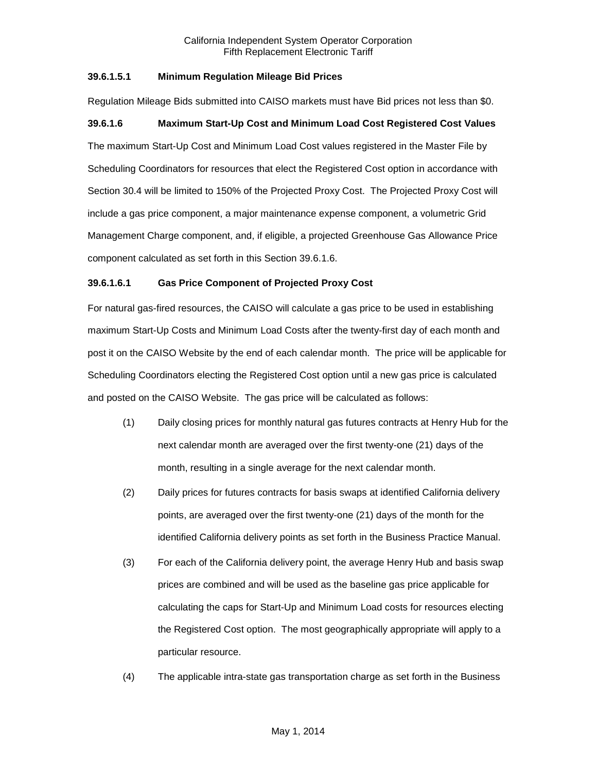# **39.6.1.5.1 Minimum Regulation Mileage Bid Prices**

Regulation Mileage Bids submitted into CAISO markets must have Bid prices not less than \$0.

#### **39.6.1.6 Maximum Start-Up Cost and Minimum Load Cost Registered Cost Values**

The maximum Start-Up Cost and Minimum Load Cost values registered in the Master File by Scheduling Coordinators for resources that elect the Registered Cost option in accordance with Section 30.4 will be limited to 150% of the Projected Proxy Cost. The Projected Proxy Cost will include a gas price component, a major maintenance expense component, a volumetric Grid Management Charge component, and, if eligible, a projected Greenhouse Gas Allowance Price component calculated as set forth in this Section 39.6.1.6.

#### **39.6.1.6.1 Gas Price Component of Projected Proxy Cost**

For natural gas-fired resources, the CAISO will calculate a gas price to be used in establishing maximum Start-Up Costs and Minimum Load Costs after the twenty-first day of each month and post it on the CAISO Website by the end of each calendar month. The price will be applicable for Scheduling Coordinators electing the Registered Cost option until a new gas price is calculated and posted on the CAISO Website. The gas price will be calculated as follows:

- (1) Daily closing prices for monthly natural gas futures contracts at Henry Hub for the next calendar month are averaged over the first twenty-one (21) days of the month, resulting in a single average for the next calendar month.
- (2) Daily prices for futures contracts for basis swaps at identified California delivery points, are averaged over the first twenty-one (21) days of the month for the identified California delivery points as set forth in the Business Practice Manual.
- (3) For each of the California delivery point, the average Henry Hub and basis swap prices are combined and will be used as the baseline gas price applicable for calculating the caps for Start-Up and Minimum Load costs for resources electing the Registered Cost option. The most geographically appropriate will apply to a particular resource.
- (4) The applicable intra-state gas transportation charge as set forth in the Business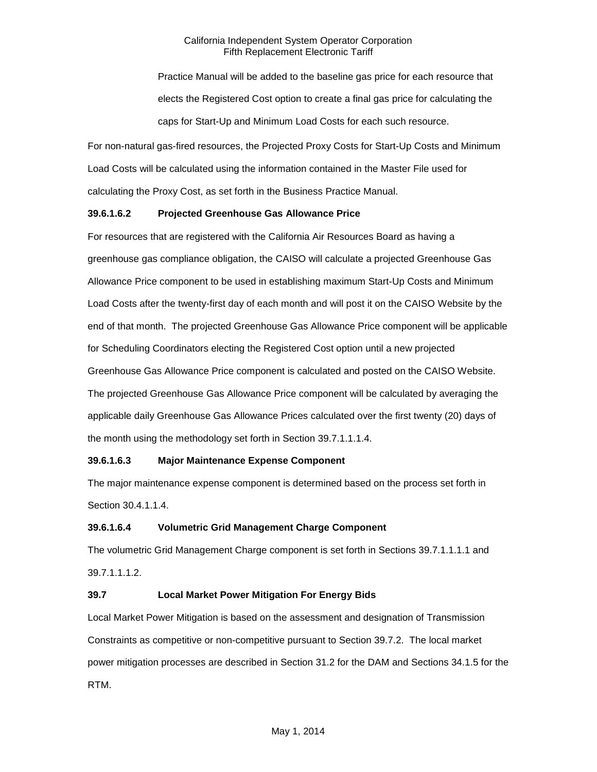Practice Manual will be added to the baseline gas price for each resource that elects the Registered Cost option to create a final gas price for calculating the caps for Start-Up and Minimum Load Costs for each such resource.

For non-natural gas-fired resources, the Projected Proxy Costs for Start-Up Costs and Minimum Load Costs will be calculated using the information contained in the Master File used for calculating the Proxy Cost, as set forth in the Business Practice Manual.

# **39.6.1.6.2 Projected Greenhouse Gas Allowance Price**

For resources that are registered with the California Air Resources Board as having a greenhouse gas compliance obligation, the CAISO will calculate a projected Greenhouse Gas Allowance Price component to be used in establishing maximum Start-Up Costs and Minimum Load Costs after the twenty-first day of each month and will post it on the CAISO Website by the end of that month. The projected Greenhouse Gas Allowance Price component will be applicable for Scheduling Coordinators electing the Registered Cost option until a new projected Greenhouse Gas Allowance Price component is calculated and posted on the CAISO Website. The projected Greenhouse Gas Allowance Price component will be calculated by averaging the applicable daily Greenhouse Gas Allowance Prices calculated over the first twenty (20) days of the month using the methodology set forth in Section 39.7.1.1.1.4.

# **39.6.1.6.3 Major Maintenance Expense Component**

The major maintenance expense component is determined based on the process set forth in Section 30.4.1.1.4.

# **39.6.1.6.4 Volumetric Grid Management Charge Component**

The volumetric Grid Management Charge component is set forth in Sections 39.7.1.1.1.1 and 39.7.1.1.1.2.

# <span id="page-6-0"></span>**39.7 Local Market Power Mitigation For Energy Bids**

Local Market Power Mitigation is based on the assessment and designation of Transmission Constraints as competitive or non-competitive pursuant to Section 39.7.2. The local market power mitigation processes are described in Section 31.2 for the DAM and Sections 34.1.5 for the RTM.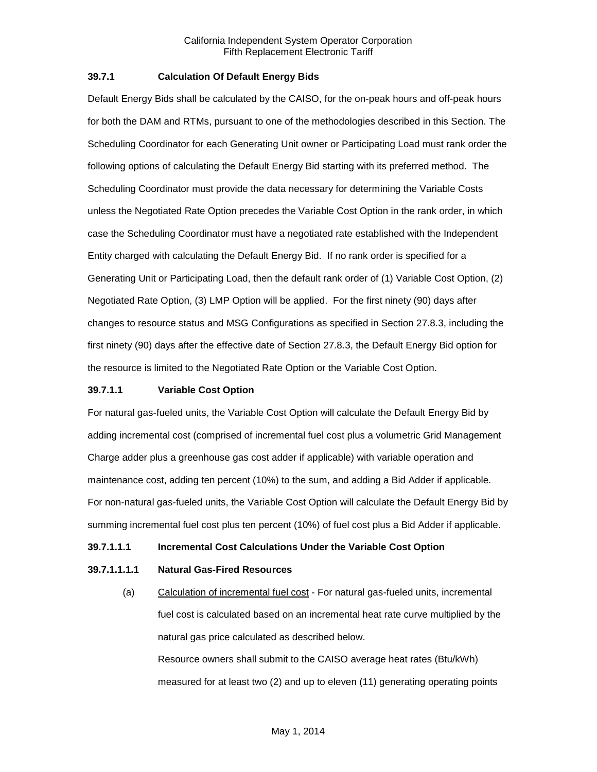#### <span id="page-7-0"></span>**39.7.1 Calculation Of Default Energy Bids**

Default Energy Bids shall be calculated by the CAISO, for the on-peak hours and off-peak hours for both the DAM and RTMs, pursuant to one of the methodologies described in this Section. The Scheduling Coordinator for each Generating Unit owner or Participating Load must rank order the following options of calculating the Default Energy Bid starting with its preferred method. The Scheduling Coordinator must provide the data necessary for determining the Variable Costs unless the Negotiated Rate Option precedes the Variable Cost Option in the rank order, in which case the Scheduling Coordinator must have a negotiated rate established with the Independent Entity charged with calculating the Default Energy Bid. If no rank order is specified for a Generating Unit or Participating Load, then the default rank order of (1) Variable Cost Option, (2) Negotiated Rate Option, (3) LMP Option will be applied. For the first ninety (90) days after changes to resource status and MSG Configurations as specified in Section 27.8.3, including the first ninety (90) days after the effective date of Section 27.8.3, the Default Energy Bid option for the resource is limited to the Negotiated Rate Option or the Variable Cost Option.

#### **39.7.1.1 Variable Cost Option**

For natural gas-fueled units, the Variable Cost Option will calculate the Default Energy Bid by adding incremental cost (comprised of incremental fuel cost plus a volumetric Grid Management Charge adder plus a greenhouse gas cost adder if applicable) with variable operation and maintenance cost, adding ten percent (10%) to the sum, and adding a Bid Adder if applicable. For non-natural gas-fueled units, the Variable Cost Option will calculate the Default Energy Bid by summing incremental fuel cost plus ten percent (10%) of fuel cost plus a Bid Adder if applicable.

#### **39.7.1.1.1 Incremental Cost Calculations Under the Variable Cost Option**

# **39.7.1.1.1.1 Natural Gas-Fired Resources**

(a) Calculation of incremental fuel cost - For natural gas-fueled units, incremental fuel cost is calculated based on an incremental heat rate curve multiplied by the natural gas price calculated as described below. Resource owners shall submit to the CAISO average heat rates (Btu/kWh) measured for at least two (2) and up to eleven (11) generating operating points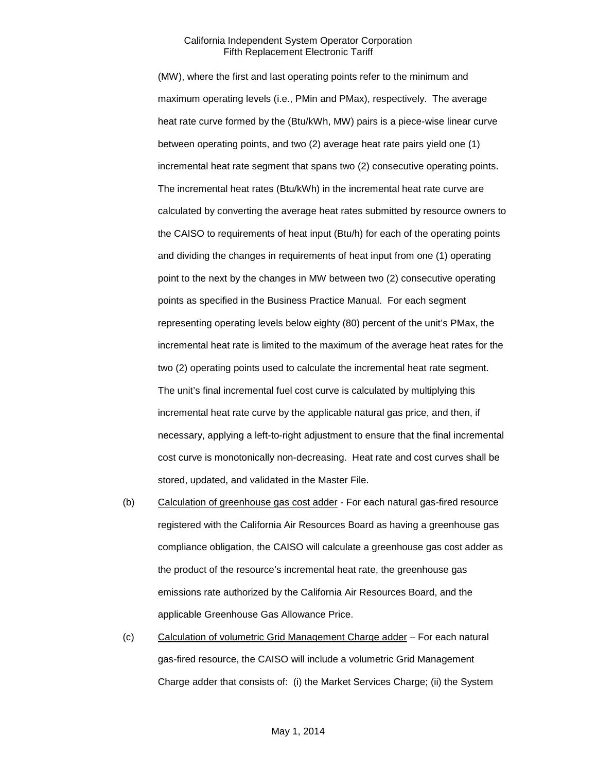(MW), where the first and last operating points refer to the minimum and maximum operating levels (i.e., PMin and PMax), respectively. The average heat rate curve formed by the (Btu/kWh, MW) pairs is a piece-wise linear curve between operating points, and two (2) average heat rate pairs yield one (1) incremental heat rate segment that spans two (2) consecutive operating points. The incremental heat rates (Btu/kWh) in the incremental heat rate curve are calculated by converting the average heat rates submitted by resource owners to the CAISO to requirements of heat input (Btu/h) for each of the operating points and dividing the changes in requirements of heat input from one (1) operating point to the next by the changes in MW between two (2) consecutive operating points as specified in the Business Practice Manual. For each segment representing operating levels below eighty (80) percent of the unit's PMax, the incremental heat rate is limited to the maximum of the average heat rates for the two (2) operating points used to calculate the incremental heat rate segment. The unit's final incremental fuel cost curve is calculated by multiplying this incremental heat rate curve by the applicable natural gas price, and then, if necessary, applying a left-to-right adjustment to ensure that the final incremental cost curve is monotonically non-decreasing. Heat rate and cost curves shall be stored, updated, and validated in the Master File.

- (b) Calculation of greenhouse gas cost adder For each natural gas-fired resource registered with the California Air Resources Board as having a greenhouse gas compliance obligation, the CAISO will calculate a greenhouse gas cost adder as the product of the resource's incremental heat rate, the greenhouse gas emissions rate authorized by the California Air Resources Board, and the applicable Greenhouse Gas Allowance Price.
- (c) Calculation of volumetric Grid Management Charge adder For each natural gas-fired resource, the CAISO will include a volumetric Grid Management Charge adder that consists of: (i) the Market Services Charge; (ii) the System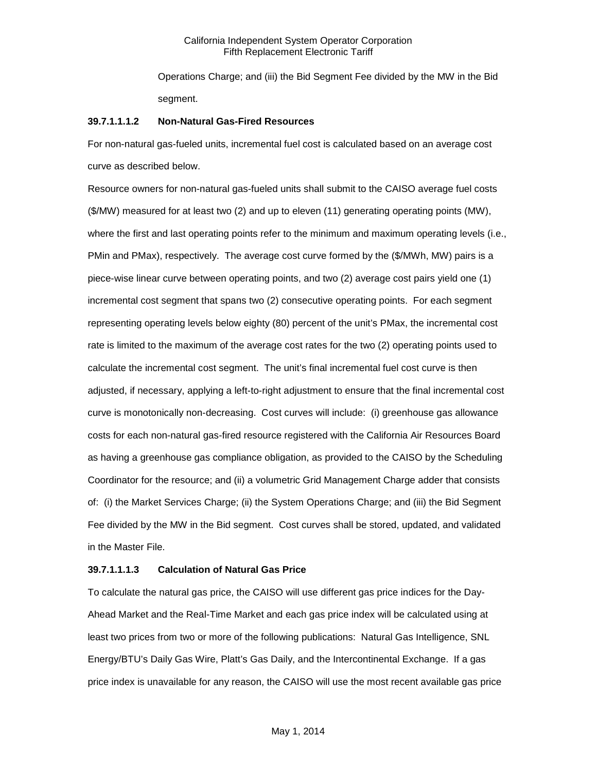Operations Charge; and (iii) the Bid Segment Fee divided by the MW in the Bid segment.

#### **39.7.1.1.1.2 Non-Natural Gas-Fired Resources**

For non-natural gas-fueled units, incremental fuel cost is calculated based on an average cost curve as described below.

Resource owners for non-natural gas-fueled units shall submit to the CAISO average fuel costs (\$/MW) measured for at least two (2) and up to eleven (11) generating operating points (MW), where the first and last operating points refer to the minimum and maximum operating levels (i.e., PMin and PMax), respectively. The average cost curve formed by the (\$/MWh, MW) pairs is a piece-wise linear curve between operating points, and two (2) average cost pairs yield one (1) incremental cost segment that spans two (2) consecutive operating points. For each segment representing operating levels below eighty (80) percent of the unit's PMax, the incremental cost rate is limited to the maximum of the average cost rates for the two (2) operating points used to calculate the incremental cost segment. The unit's final incremental fuel cost curve is then adjusted, if necessary, applying a left-to-right adjustment to ensure that the final incremental cost curve is monotonically non-decreasing. Cost curves will include: (i) greenhouse gas allowance costs for each non-natural gas-fired resource registered with the California Air Resources Board as having a greenhouse gas compliance obligation, as provided to the CAISO by the Scheduling Coordinator for the resource; and (ii) a volumetric Grid Management Charge adder that consists of: (i) the Market Services Charge; (ii) the System Operations Charge; and (iii) the Bid Segment Fee divided by the MW in the Bid segment. Cost curves shall be stored, updated, and validated in the Master File.

#### **39.7.1.1.1.3 Calculation of Natural Gas Price**

To calculate the natural gas price, the CAISO will use different gas price indices for the Day-Ahead Market and the Real-Time Market and each gas price index will be calculated using at least two prices from two or more of the following publications: Natural Gas Intelligence, SNL Energy/BTU's Daily Gas Wire, Platt's Gas Daily, and the Intercontinental Exchange. If a gas price index is unavailable for any reason, the CAISO will use the most recent available gas price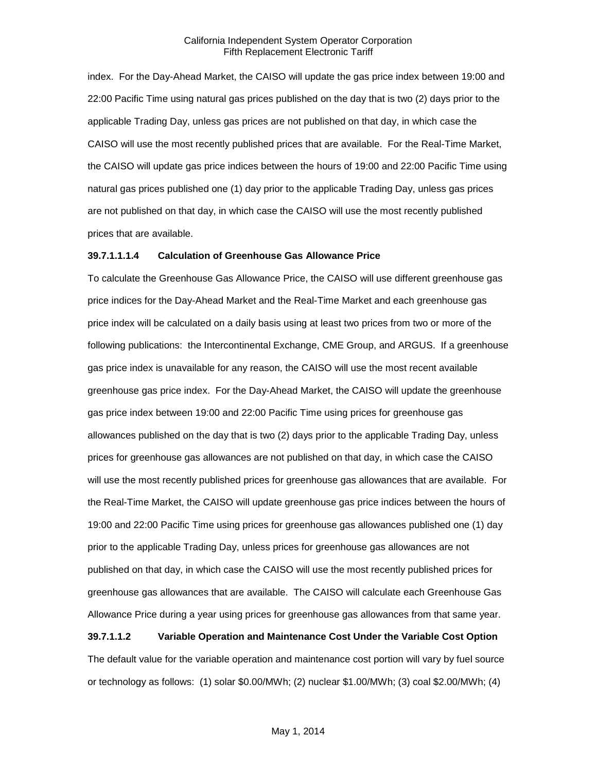index. For the Day-Ahead Market, the CAISO will update the gas price index between 19:00 and 22:00 Pacific Time using natural gas prices published on the day that is two (2) days prior to the applicable Trading Day, unless gas prices are not published on that day, in which case the CAISO will use the most recently published prices that are available. For the Real-Time Market, the CAISO will update gas price indices between the hours of 19:00 and 22:00 Pacific Time using natural gas prices published one (1) day prior to the applicable Trading Day, unless gas prices are not published on that day, in which case the CAISO will use the most recently published prices that are available.

#### **39.7.1.1.1.4 Calculation of Greenhouse Gas Allowance Price**

To calculate the Greenhouse Gas Allowance Price, the CAISO will use different greenhouse gas price indices for the Day-Ahead Market and the Real-Time Market and each greenhouse gas price index will be calculated on a daily basis using at least two prices from two or more of the following publications: the Intercontinental Exchange, CME Group, and ARGUS. If a greenhouse gas price index is unavailable for any reason, the CAISO will use the most recent available greenhouse gas price index. For the Day-Ahead Market, the CAISO will update the greenhouse gas price index between 19:00 and 22:00 Pacific Time using prices for greenhouse gas allowances published on the day that is two (2) days prior to the applicable Trading Day, unless prices for greenhouse gas allowances are not published on that day, in which case the CAISO will use the most recently published prices for greenhouse gas allowances that are available. For the Real-Time Market, the CAISO will update greenhouse gas price indices between the hours of 19:00 and 22:00 Pacific Time using prices for greenhouse gas allowances published one (1) day prior to the applicable Trading Day, unless prices for greenhouse gas allowances are not published on that day, in which case the CAISO will use the most recently published prices for greenhouse gas allowances that are available. The CAISO will calculate each Greenhouse Gas Allowance Price during a year using prices for greenhouse gas allowances from that same year.

#### **39.7.1.1.2 Variable Operation and Maintenance Cost Under the Variable Cost Option**

The default value for the variable operation and maintenance cost portion will vary by fuel source or technology as follows: (1) solar \$0.00/MWh; (2) nuclear \$1.00/MWh; (3) coal \$2.00/MWh; (4)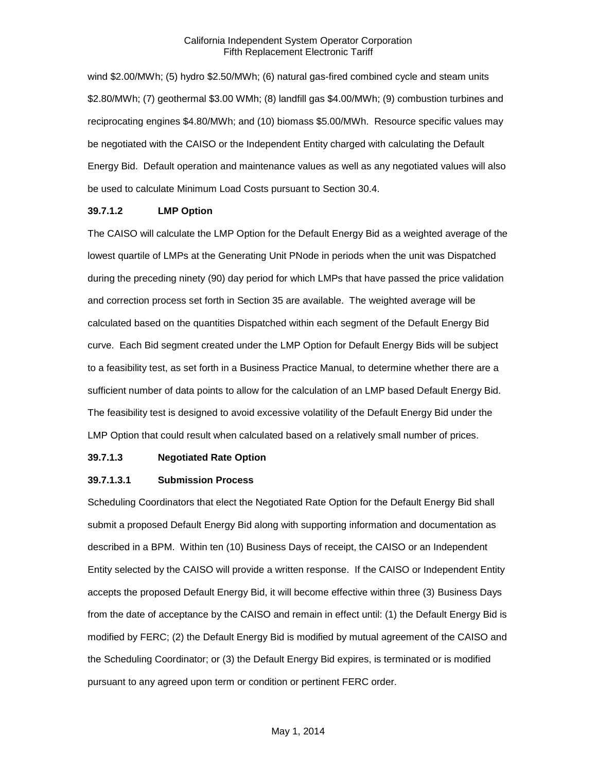wind \$2.00/MWh; (5) hydro \$2.50/MWh; (6) natural gas-fired combined cycle and steam units \$2.80/MWh; (7) geothermal \$3.00 WMh; (8) landfill gas \$4.00/MWh; (9) combustion turbines and reciprocating engines \$4.80/MWh; and (10) biomass \$5.00/MWh. Resource specific values may be negotiated with the CAISO or the Independent Entity charged with calculating the Default Energy Bid. Default operation and maintenance values as well as any negotiated values will also be used to calculate Minimum Load Costs pursuant to Section 30.4.

#### **39.7.1.2 LMP Option**

The CAISO will calculate the LMP Option for the Default Energy Bid as a weighted average of the lowest quartile of LMPs at the Generating Unit PNode in periods when the unit was Dispatched during the preceding ninety (90) day period for which LMPs that have passed the price validation and correction process set forth in Section 35 are available. The weighted average will be calculated based on the quantities Dispatched within each segment of the Default Energy Bid curve. Each Bid segment created under the LMP Option for Default Energy Bids will be subject to a feasibility test, as set forth in a Business Practice Manual, to determine whether there are a sufficient number of data points to allow for the calculation of an LMP based Default Energy Bid. The feasibility test is designed to avoid excessive volatility of the Default Energy Bid under the LMP Option that could result when calculated based on a relatively small number of prices.

#### **39.7.1.3 Negotiated Rate Option**

#### **39.7.1.3.1 Submission Process**

Scheduling Coordinators that elect the Negotiated Rate Option for the Default Energy Bid shall submit a proposed Default Energy Bid along with supporting information and documentation as described in a BPM. Within ten (10) Business Days of receipt, the CAISO or an Independent Entity selected by the CAISO will provide a written response. If the CAISO or Independent Entity accepts the proposed Default Energy Bid, it will become effective within three (3) Business Days from the date of acceptance by the CAISO and remain in effect until: (1) the Default Energy Bid is modified by FERC; (2) the Default Energy Bid is modified by mutual agreement of the CAISO and the Scheduling Coordinator; or (3) the Default Energy Bid expires, is terminated or is modified pursuant to any agreed upon term or condition or pertinent FERC order.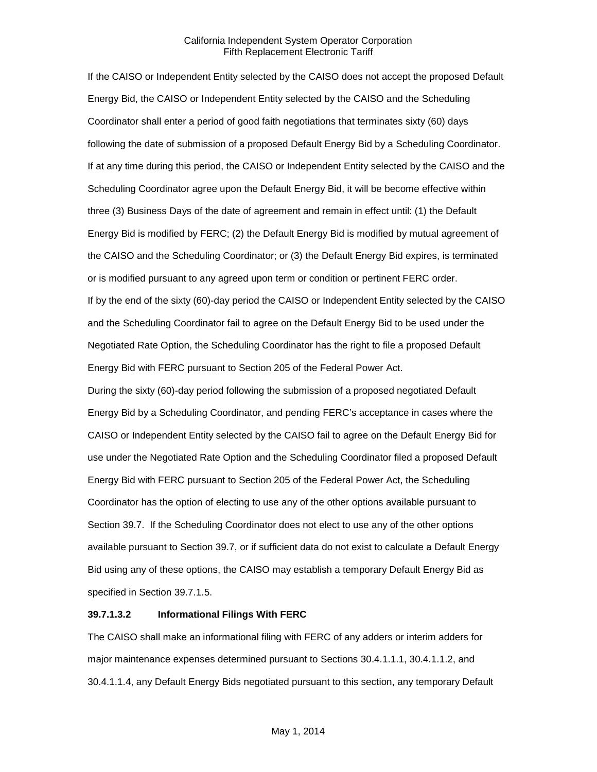If the CAISO or Independent Entity selected by the CAISO does not accept the proposed Default Energy Bid, the CAISO or Independent Entity selected by the CAISO and the Scheduling Coordinator shall enter a period of good faith negotiations that terminates sixty (60) days following the date of submission of a proposed Default Energy Bid by a Scheduling Coordinator. If at any time during this period, the CAISO or Independent Entity selected by the CAISO and the Scheduling Coordinator agree upon the Default Energy Bid, it will be become effective within three (3) Business Days of the date of agreement and remain in effect until: (1) the Default Energy Bid is modified by FERC; (2) the Default Energy Bid is modified by mutual agreement of the CAISO and the Scheduling Coordinator; or (3) the Default Energy Bid expires, is terminated or is modified pursuant to any agreed upon term or condition or pertinent FERC order. If by the end of the sixty (60)-day period the CAISO or Independent Entity selected by the CAISO and the Scheduling Coordinator fail to agree on the Default Energy Bid to be used under the Negotiated Rate Option, the Scheduling Coordinator has the right to file a proposed Default Energy Bid with FERC pursuant to Section 205 of the Federal Power Act.

During the sixty (60)-day period following the submission of a proposed negotiated Default Energy Bid by a Scheduling Coordinator, and pending FERC's acceptance in cases where the CAISO or Independent Entity selected by the CAISO fail to agree on the Default Energy Bid for use under the Negotiated Rate Option and the Scheduling Coordinator filed a proposed Default Energy Bid with FERC pursuant to Section 205 of the Federal Power Act, the Scheduling Coordinator has the option of electing to use any of the other options available pursuant to Section 39.7. If the Scheduling Coordinator does not elect to use any of the other options available pursuant to Section 39.7, or if sufficient data do not exist to calculate a Default Energy Bid using any of these options, the CAISO may establish a temporary Default Energy Bid as specified in Section 39.7.1.5.

# **39.7.1.3.2 Informational Filings With FERC**

The CAISO shall make an informational filing with FERC of any adders or interim adders for major maintenance expenses determined pursuant to Sections 30.4.1.1.1, 30.4.1.1.2, and 30.4.1.1.4, any Default Energy Bids negotiated pursuant to this section, any temporary Default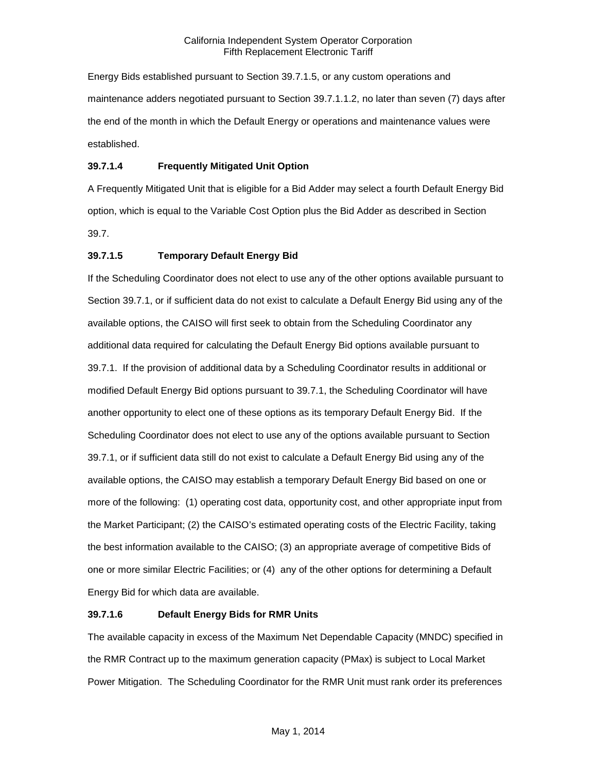Energy Bids established pursuant to Section 39.7.1.5, or any custom operations and maintenance adders negotiated pursuant to Section 39.7.1.1.2, no later than seven (7) days after the end of the month in which the Default Energy or operations and maintenance values were established.

# **39.7.1.4 Frequently Mitigated Unit Option**

A Frequently Mitigated Unit that is eligible for a Bid Adder may select a fourth Default Energy Bid option, which is equal to the Variable Cost Option plus the Bid Adder as described in Section 39.7.

# **39.7.1.5 Temporary Default Energy Bid**

If the Scheduling Coordinator does not elect to use any of the other options available pursuant to Section 39.7.1, or if sufficient data do not exist to calculate a Default Energy Bid using any of the available options, the CAISO will first seek to obtain from the Scheduling Coordinator any additional data required for calculating the Default Energy Bid options available pursuant to 39.7.1. If the provision of additional data by a Scheduling Coordinator results in additional or modified Default Energy Bid options pursuant to 39.7.1, the Scheduling Coordinator will have another opportunity to elect one of these options as its temporary Default Energy Bid. If the Scheduling Coordinator does not elect to use any of the options available pursuant to Section 39.7.1, or if sufficient data still do not exist to calculate a Default Energy Bid using any of the available options, the CAISO may establish a temporary Default Energy Bid based on one or more of the following: (1) operating cost data, opportunity cost, and other appropriate input from the Market Participant; (2) the CAISO's estimated operating costs of the Electric Facility, taking the best information available to the CAISO; (3) an appropriate average of competitive Bids of one or more similar Electric Facilities; or (4) any of the other options for determining a Default Energy Bid for which data are available.

# **39.7.1.6 Default Energy Bids for RMR Units**

The available capacity in excess of the Maximum Net Dependable Capacity (MNDC) specified in the RMR Contract up to the maximum generation capacity (PMax) is subject to Local Market Power Mitigation. The Scheduling Coordinator for the RMR Unit must rank order its preferences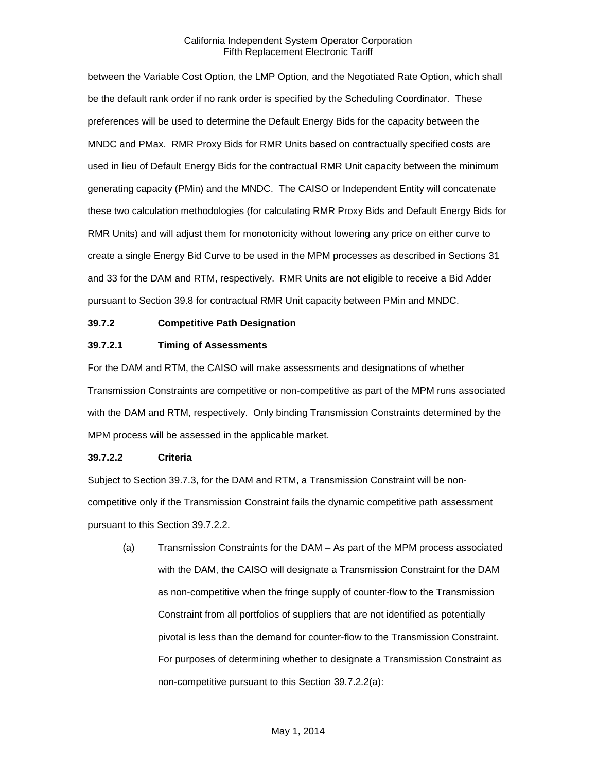between the Variable Cost Option, the LMP Option, and the Negotiated Rate Option, which shall be the default rank order if no rank order is specified by the Scheduling Coordinator. These preferences will be used to determine the Default Energy Bids for the capacity between the MNDC and PMax. RMR Proxy Bids for RMR Units based on contractually specified costs are used in lieu of Default Energy Bids for the contractual RMR Unit capacity between the minimum generating capacity (PMin) and the MNDC. The CAISO or Independent Entity will concatenate these two calculation methodologies (for calculating RMR Proxy Bids and Default Energy Bids for RMR Units) and will adjust them for monotonicity without lowering any price on either curve to create a single Energy Bid Curve to be used in the MPM processes as described in Sections 31 and 33 for the DAM and RTM, respectively. RMR Units are not eligible to receive a Bid Adder pursuant to Section 39.8 for contractual RMR Unit capacity between PMin and MNDC.

# <span id="page-14-0"></span>**39.7.2 Competitive Path Designation**

### **39.7.2.1 Timing of Assessments**

For the DAM and RTM, the CAISO will make assessments and designations of whether Transmission Constraints are competitive or non-competitive as part of the MPM runs associated with the DAM and RTM, respectively. Only binding Transmission Constraints determined by the MPM process will be assessed in the applicable market.

#### **39.7.2.2 Criteria**

Subject to Section 39.7.3, for the DAM and RTM, a Transmission Constraint will be noncompetitive only if the Transmission Constraint fails the dynamic competitive path assessment pursuant to this Section 39.7.2.2.

(a) Transmission Constraints for the DAM – As part of the MPM process associated with the DAM, the CAISO will designate a Transmission Constraint for the DAM as non-competitive when the fringe supply of counter-flow to the Transmission Constraint from all portfolios of suppliers that are not identified as potentially pivotal is less than the demand for counter-flow to the Transmission Constraint. For purposes of determining whether to designate a Transmission Constraint as non-competitive pursuant to this Section 39.7.2.2(a):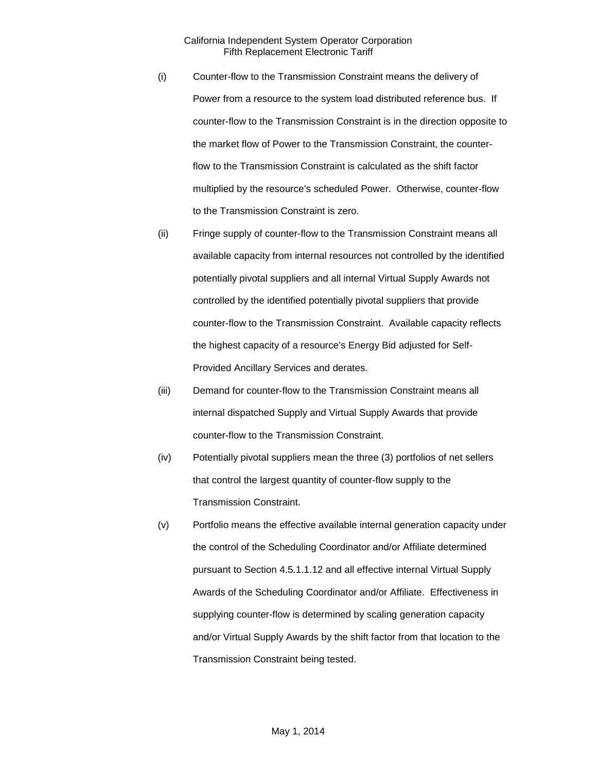- (i) Counter-flow to the Transmission Constraint means the delivery of Power from a resource to the system load distributed reference bus. If counter-flow to the Transmission Constraint is in the direction opposite to the market flow of Power to the Transmission Constraint, the counterflow to the Transmission Constraint is calculated as the shift factor multiplied by the resource's scheduled Power. Otherwise, counter-flow to the Transmission Constraint is zero.
- (ii) Fringe supply of counter-flow to the Transmission Constraint means all available capacity from internal resources not controlled by the identified potentially pivotal suppliers and all internal Virtual Supply Awards not controlled by the identified potentially pivotal suppliers that provide counter-flow to the Transmission Constraint. Available capacity reflects the highest capacity of a resource's Energy Bid adjusted for Self-Provided Ancillary Services and derates.
- (iii) Demand for counter-flow to the Transmission Constraint means all internal dispatched Supply and Virtual Supply Awards that provide counter-flow to the Transmission Constraint.
- (iv) Potentially pivotal suppliers mean the three (3) portfolios of net sellers that control the largest quantity of counter-flow supply to the Transmission Constraint.
- (v) Portfolio means the effective available internal generation capacity under the control of the Scheduling Coordinator and/or Affiliate determined pursuant to Section 4.5.1.1.12 and all effective internal Virtual Supply Awards of the Scheduling Coordinator and/or Affiliate. Effectiveness in supplying counter-flow is determined by scaling generation capacity and/or Virtual Supply Awards by the shift factor from that location to the Transmission Constraint being tested.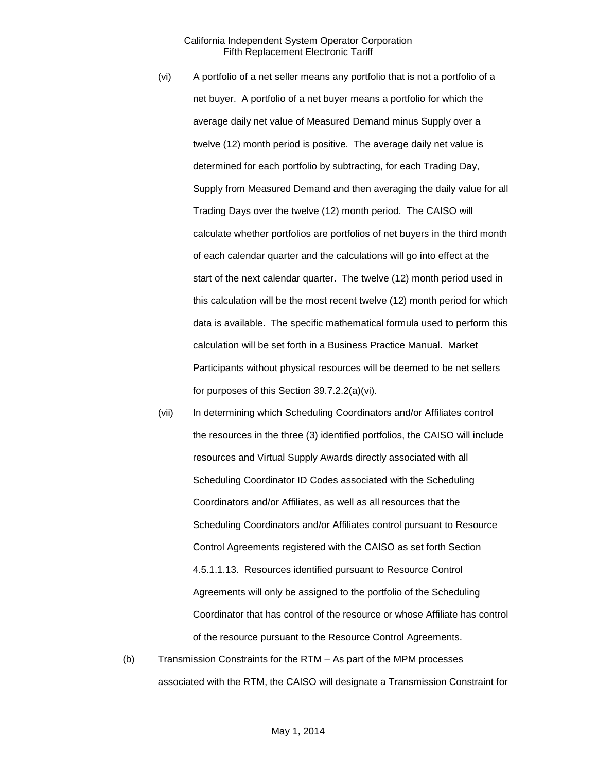- (vi) A portfolio of a net seller means any portfolio that is not a portfolio of a net buyer. A portfolio of a net buyer means a portfolio for which the average daily net value of Measured Demand minus Supply over a twelve (12) month period is positive. The average daily net value is determined for each portfolio by subtracting, for each Trading Day, Supply from Measured Demand and then averaging the daily value for all Trading Days over the twelve (12) month period. The CAISO will calculate whether portfolios are portfolios of net buyers in the third month of each calendar quarter and the calculations will go into effect at the start of the next calendar quarter. The twelve (12) month period used in this calculation will be the most recent twelve (12) month period for which data is available. The specific mathematical formula used to perform this calculation will be set forth in a Business Practice Manual. Market Participants without physical resources will be deemed to be net sellers for purposes of this Section 39.7.2.2(a)(vi).
- (vii) In determining which Scheduling Coordinators and/or Affiliates control the resources in the three (3) identified portfolios, the CAISO will include resources and Virtual Supply Awards directly associated with all Scheduling Coordinator ID Codes associated with the Scheduling Coordinators and/or Affiliates, as well as all resources that the Scheduling Coordinators and/or Affiliates control pursuant to Resource Control Agreements registered with the CAISO as set forth Section 4.5.1.1.13. Resources identified pursuant to Resource Control Agreements will only be assigned to the portfolio of the Scheduling Coordinator that has control of the resource or whose Affiliate has control of the resource pursuant to the Resource Control Agreements.
- (b) Transmission Constraints for the  $RTM As$  part of the MPM processes associated with the RTM, the CAISO will designate a Transmission Constraint for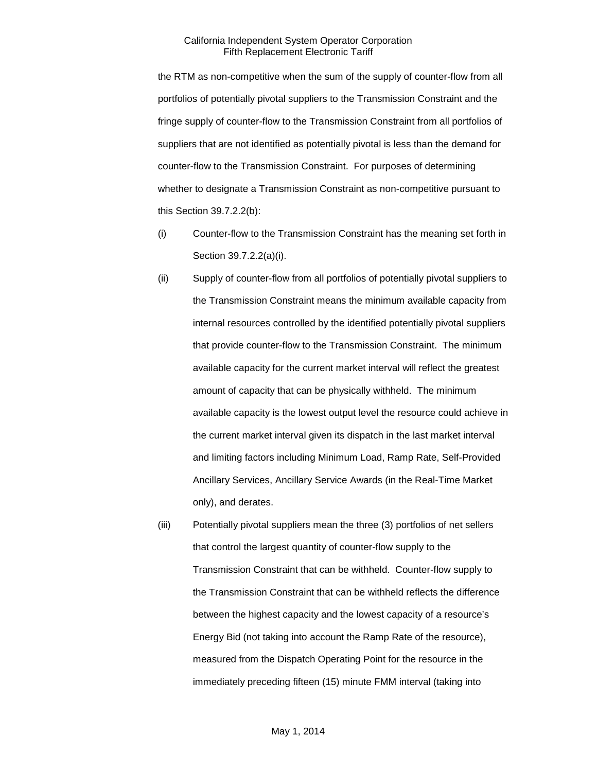the RTM as non-competitive when the sum of the supply of counter-flow from all portfolios of potentially pivotal suppliers to the Transmission Constraint and the fringe supply of counter-flow to the Transmission Constraint from all portfolios of suppliers that are not identified as potentially pivotal is less than the demand for counter-flow to the Transmission Constraint. For purposes of determining whether to designate a Transmission Constraint as non-competitive pursuant to this Section 39.7.2.2(b):

- (i) Counter-flow to the Transmission Constraint has the meaning set forth in Section 39.7.2.2(a)(i).
- (ii) Supply of counter-flow from all portfolios of potentially pivotal suppliers to the Transmission Constraint means the minimum available capacity from internal resources controlled by the identified potentially pivotal suppliers that provide counter-flow to the Transmission Constraint. The minimum available capacity for the current market interval will reflect the greatest amount of capacity that can be physically withheld. The minimum available capacity is the lowest output level the resource could achieve in the current market interval given its dispatch in the last market interval and limiting factors including Minimum Load, Ramp Rate, Self-Provided Ancillary Services, Ancillary Service Awards (in the Real-Time Market only), and derates.
- (iii) Potentially pivotal suppliers mean the three (3) portfolios of net sellers that control the largest quantity of counter-flow supply to the Transmission Constraint that can be withheld. Counter-flow supply to the Transmission Constraint that can be withheld reflects the difference between the highest capacity and the lowest capacity of a resource's Energy Bid (not taking into account the Ramp Rate of the resource), measured from the Dispatch Operating Point for the resource in the immediately preceding fifteen (15) minute FMM interval (taking into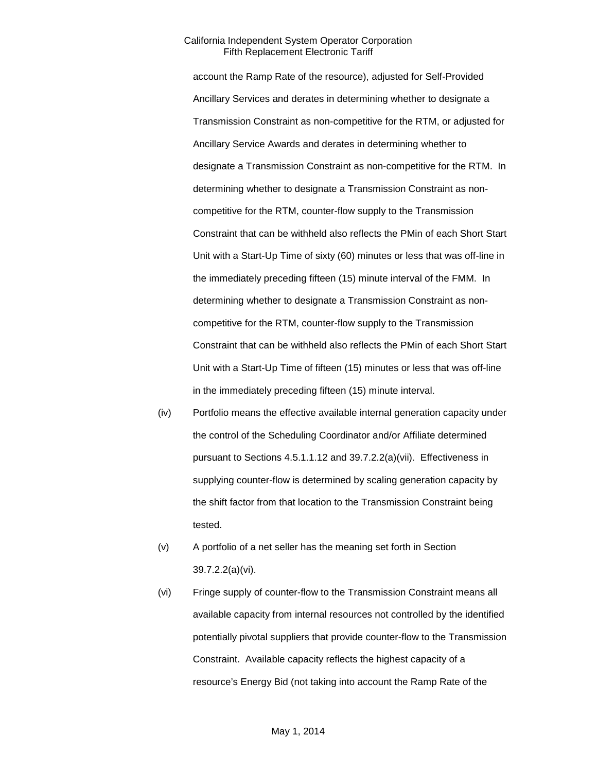account the Ramp Rate of the resource), adjusted for Self-Provided Ancillary Services and derates in determining whether to designate a Transmission Constraint as non-competitive for the RTM, or adjusted for Ancillary Service Awards and derates in determining whether to designate a Transmission Constraint as non-competitive for the RTM. In determining whether to designate a Transmission Constraint as noncompetitive for the RTM, counter-flow supply to the Transmission Constraint that can be withheld also reflects the PMin of each Short Start Unit with a Start-Up Time of sixty (60) minutes or less that was off-line in the immediately preceding fifteen (15) minute interval of the FMM. In determining whether to designate a Transmission Constraint as noncompetitive for the RTM, counter-flow supply to the Transmission Constraint that can be withheld also reflects the PMin of each Short Start Unit with a Start-Up Time of fifteen (15) minutes or less that was off-line in the immediately preceding fifteen (15) minute interval.

- (iv) Portfolio means the effective available internal generation capacity under the control of the Scheduling Coordinator and/or Affiliate determined pursuant to Sections 4.5.1.1.12 and 39.7.2.2(a)(vii). Effectiveness in supplying counter-flow is determined by scaling generation capacity by the shift factor from that location to the Transmission Constraint being tested.
- (v) A portfolio of a net seller has the meaning set forth in Section 39.7.2.2(a)(vi).
- (vi) Fringe supply of counter-flow to the Transmission Constraint means all available capacity from internal resources not controlled by the identified potentially pivotal suppliers that provide counter-flow to the Transmission Constraint. Available capacity reflects the highest capacity of a resource's Energy Bid (not taking into account the Ramp Rate of the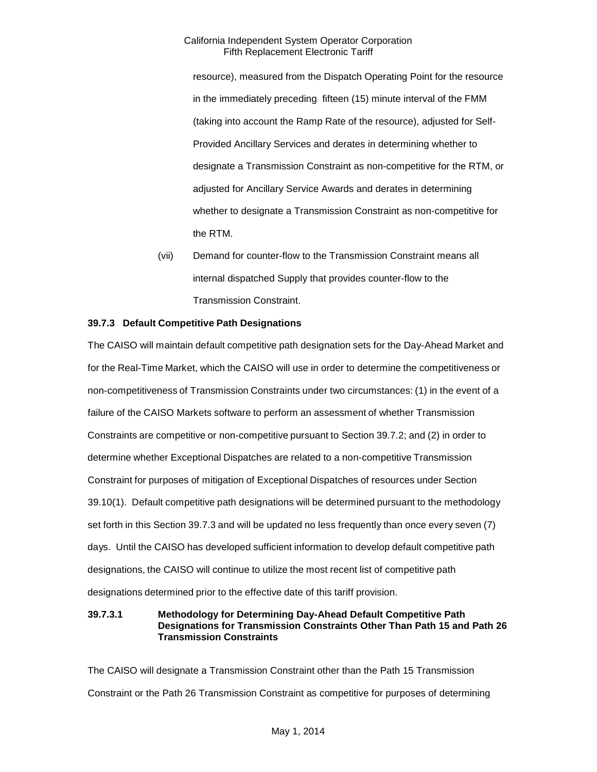resource), measured from the Dispatch Operating Point for the resource in the immediately preceding fifteen (15) minute interval of the FMM (taking into account the Ramp Rate of the resource), adjusted for Self-Provided Ancillary Services and derates in determining whether to designate a Transmission Constraint as non-competitive for the RTM, or adjusted for Ancillary Service Awards and derates in determining whether to designate a Transmission Constraint as non-competitive for the RTM.

(vii) Demand for counter-flow to the Transmission Constraint means all internal dispatched Supply that provides counter-flow to the Transmission Constraint.

# <span id="page-19-0"></span>**39.7.3 Default Competitive Path Designations**

The CAISO will maintain default competitive path designation sets for the Day-Ahead Market and for the Real-Time Market, which the CAISO will use in order to determine the competitiveness or non-competitiveness of Transmission Constraints under two circumstances: (1) in the event of a failure of the CAISO Markets software to perform an assessment of whether Transmission Constraints are competitive or non-competitive pursuant to Section 39.7.2; and (2) in order to determine whether Exceptional Dispatches are related to a non-competitive Transmission Constraint for purposes of mitigation of Exceptional Dispatches of resources under Section 39.10(1). Default competitive path designations will be determined pursuant to the methodology set forth in this Section 39.7.3 and will be updated no less frequently than once every seven (7) days. Until the CAISO has developed sufficient information to develop default competitive path designations, the CAISO will continue to utilize the most recent list of competitive path designations determined prior to the effective date of this tariff provision.

### **39.7.3.1 Methodology for Determining Day-Ahead Default Competitive Path Designations for Transmission Constraints Other Than Path 15 and Path 26 Transmission Constraints**

The CAISO will designate a Transmission Constraint other than the Path 15 Transmission Constraint or the Path 26 Transmission Constraint as competitive for purposes of determining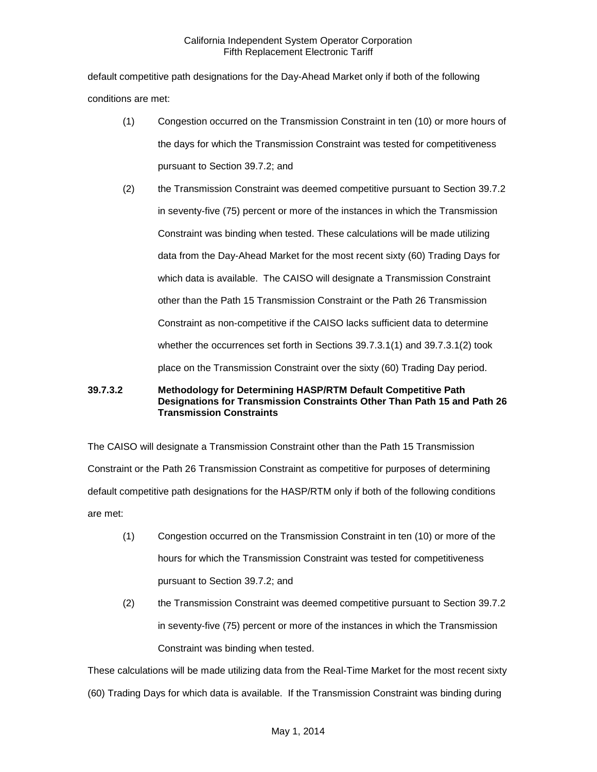default competitive path designations for the Day-Ahead Market only if both of the following conditions are met:

- (1) Congestion occurred on the Transmission Constraint in ten (10) or more hours of the days for which the Transmission Constraint was tested for competitiveness pursuant to Section 39.7.2; and
- (2) the Transmission Constraint was deemed competitive pursuant to Section 39.7.2 in seventy-five (75) percent or more of the instances in which the Transmission Constraint was binding when tested. These calculations will be made utilizing data from the Day-Ahead Market for the most recent sixty (60) Trading Days for which data is available. The CAISO will designate a Transmission Constraint other than the Path 15 Transmission Constraint or the Path 26 Transmission Constraint as non-competitive if the CAISO lacks sufficient data to determine whether the occurrences set forth in Sections 39.7.3.1(1) and 39.7.3.1(2) took place on the Transmission Constraint over the sixty (60) Trading Day period.

# **39.7.3.2 Methodology for Determining HASP/RTM Default Competitive Path Designations for Transmission Constraints Other Than Path 15 and Path 26 Transmission Constraints**

The CAISO will designate a Transmission Constraint other than the Path 15 Transmission Constraint or the Path 26 Transmission Constraint as competitive for purposes of determining default competitive path designations for the HASP/RTM only if both of the following conditions are met:

- (1) Congestion occurred on the Transmission Constraint in ten (10) or more of the hours for which the Transmission Constraint was tested for competitiveness pursuant to Section 39.7.2; and
- (2) the Transmission Constraint was deemed competitive pursuant to Section 39.7.2 in seventy-five (75) percent or more of the instances in which the Transmission Constraint was binding when tested.

These calculations will be made utilizing data from the Real-Time Market for the most recent sixty

(60) Trading Days for which data is available. If the Transmission Constraint was binding during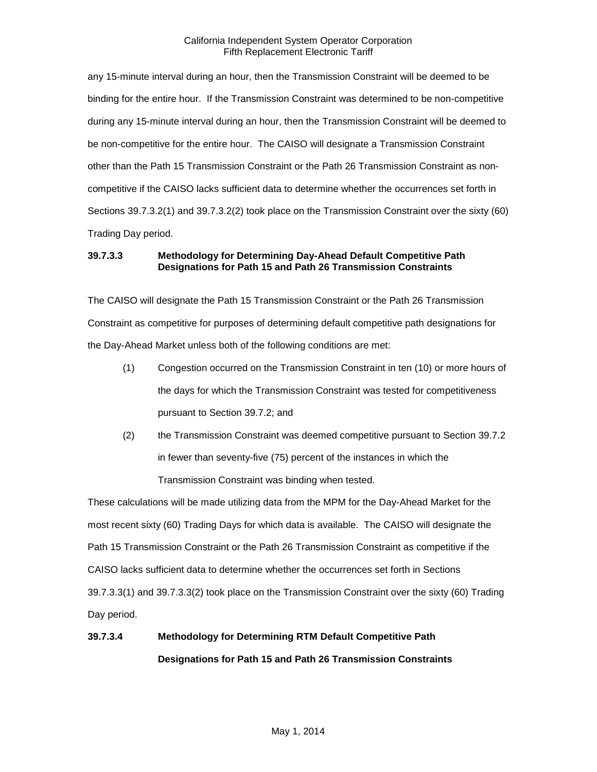any 15-minute interval during an hour, then the Transmission Constraint will be deemed to be binding for the entire hour. If the Transmission Constraint was determined to be non-competitive during any 15-minute interval during an hour, then the Transmission Constraint will be deemed to be non-competitive for the entire hour. The CAISO will designate a Transmission Constraint other than the Path 15 Transmission Constraint or the Path 26 Transmission Constraint as noncompetitive if the CAISO lacks sufficient data to determine whether the occurrences set forth in Sections 39.7.3.2(1) and 39.7.3.2(2) took place on the Transmission Constraint over the sixty (60) Trading Day period.

# **39.7.3.3 Methodology for Determining Day-Ahead Default Competitive Path Designations for Path 15 and Path 26 Transmission Constraints**

The CAISO will designate the Path 15 Transmission Constraint or the Path 26 Transmission Constraint as competitive for purposes of determining default competitive path designations for the Day-Ahead Market unless both of the following conditions are met:

- (1) Congestion occurred on the Transmission Constraint in ten (10) or more hours of the days for which the Transmission Constraint was tested for competitiveness pursuant to Section 39.7.2; and
- (2) the Transmission Constraint was deemed competitive pursuant to Section 39.7.2 in fewer than seventy-five (75) percent of the instances in which the Transmission Constraint was binding when tested.

These calculations will be made utilizing data from the MPM for the Day-Ahead Market for the most recent sixty (60) Trading Days for which data is available. The CAISO will designate the Path 15 Transmission Constraint or the Path 26 Transmission Constraint as competitive if the CAISO lacks sufficient data to determine whether the occurrences set forth in Sections 39.7.3.3(1) and 39.7.3.3(2) took place on the Transmission Constraint over the sixty (60) Trading Day period.

# **39.7.3.4 Methodology for Determining RTM Default Competitive Path Designations for Path 15 and Path 26 Transmission Constraints**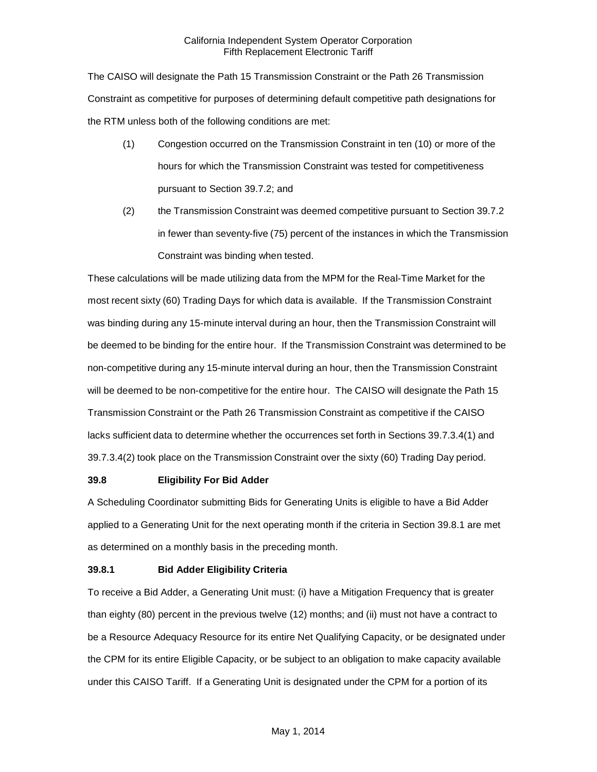The CAISO will designate the Path 15 Transmission Constraint or the Path 26 Transmission Constraint as competitive for purposes of determining default competitive path designations for the RTM unless both of the following conditions are met:

- (1) Congestion occurred on the Transmission Constraint in ten (10) or more of the hours for which the Transmission Constraint was tested for competitiveness pursuant to Section 39.7.2; and
- (2) the Transmission Constraint was deemed competitive pursuant to Section 39.7.2 in fewer than seventy-five (75) percent of the instances in which the Transmission Constraint was binding when tested.

These calculations will be made utilizing data from the MPM for the Real-Time Market for the most recent sixty (60) Trading Days for which data is available. If the Transmission Constraint was binding during any 15-minute interval during an hour, then the Transmission Constraint will be deemed to be binding for the entire hour. If the Transmission Constraint was determined to be non-competitive during any 15-minute interval during an hour, then the Transmission Constraint will be deemed to be non-competitive for the entire hour. The CAISO will designate the Path 15 Transmission Constraint or the Path 26 Transmission Constraint as competitive if the CAISO lacks sufficient data to determine whether the occurrences set forth in Sections 39.7.3.4(1) and 39.7.3.4(2) took place on the Transmission Constraint over the sixty (60) Trading Day period.

#### <span id="page-22-0"></span>**39.8 Eligibility For Bid Adder**

A Scheduling Coordinator submitting Bids for Generating Units is eligible to have a Bid Adder applied to a Generating Unit for the next operating month if the criteria in Section 39.8.1 are met as determined on a monthly basis in the preceding month.

#### <span id="page-22-1"></span>**39.8.1 Bid Adder Eligibility Criteria**

To receive a Bid Adder, a Generating Unit must: (i) have a Mitigation Frequency that is greater than eighty (80) percent in the previous twelve (12) months; and (ii) must not have a contract to be a Resource Adequacy Resource for its entire Net Qualifying Capacity, or be designated under the CPM for its entire Eligible Capacity, or be subject to an obligation to make capacity available under this CAISO Tariff. If a Generating Unit is designated under the CPM for a portion of its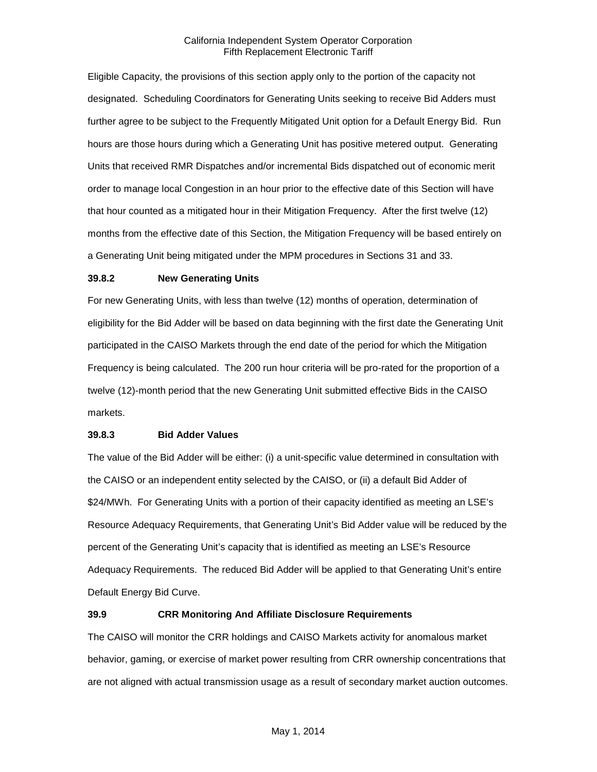Eligible Capacity, the provisions of this section apply only to the portion of the capacity not designated. Scheduling Coordinators for Generating Units seeking to receive Bid Adders must further agree to be subject to the Frequently Mitigated Unit option for a Default Energy Bid. Run hours are those hours during which a Generating Unit has positive metered output. Generating Units that received RMR Dispatches and/or incremental Bids dispatched out of economic merit order to manage local Congestion in an hour prior to the effective date of this Section will have that hour counted as a mitigated hour in their Mitigation Frequency. After the first twelve (12) months from the effective date of this Section, the Mitigation Frequency will be based entirely on a Generating Unit being mitigated under the MPM procedures in Sections 31 and 33.

#### <span id="page-23-0"></span>**39.8.2 New Generating Units**

For new Generating Units, with less than twelve (12) months of operation, determination of eligibility for the Bid Adder will be based on data beginning with the first date the Generating Unit participated in the CAISO Markets through the end date of the period for which the Mitigation Frequency is being calculated. The 200 run hour criteria will be pro-rated for the proportion of a twelve (12)-month period that the new Generating Unit submitted effective Bids in the CAISO markets.

#### <span id="page-23-1"></span>**39.8.3 Bid Adder Values**

The value of the Bid Adder will be either: (i) a unit-specific value determined in consultation with the CAISO or an independent entity selected by the CAISO, or (ii) a default Bid Adder of \$24/MWh. For Generating Units with a portion of their capacity identified as meeting an LSE's Resource Adequacy Requirements, that Generating Unit's Bid Adder value will be reduced by the percent of the Generating Unit's capacity that is identified as meeting an LSE's Resource Adequacy Requirements. The reduced Bid Adder will be applied to that Generating Unit's entire Default Energy Bid Curve.

#### <span id="page-23-2"></span>**39.9 CRR Monitoring And Affiliate Disclosure Requirements**

The CAISO will monitor the CRR holdings and CAISO Markets activity for anomalous market behavior, gaming, or exercise of market power resulting from CRR ownership concentrations that are not aligned with actual transmission usage as a result of secondary market auction outcomes.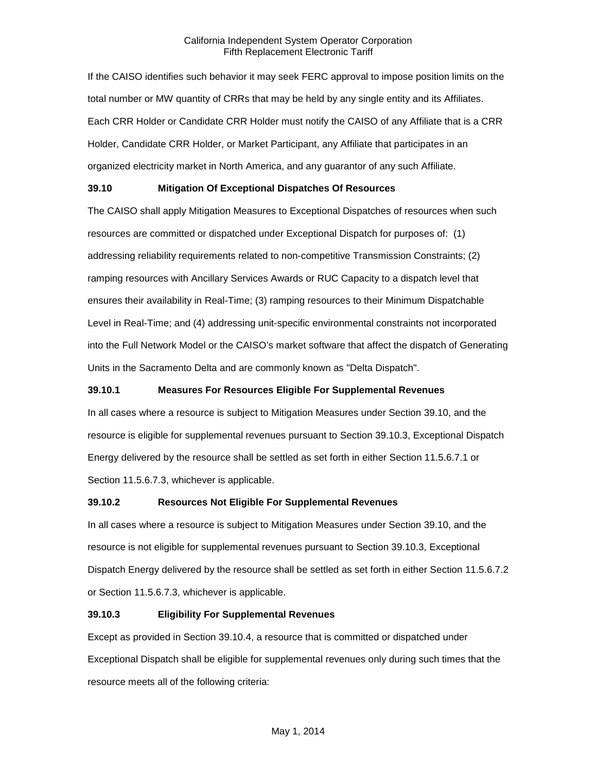If the CAISO identifies such behavior it may seek FERC approval to impose position limits on the total number or MW quantity of CRRs that may be held by any single entity and its Affiliates. Each CRR Holder or Candidate CRR Holder must notify the CAISO of any Affiliate that is a CRR Holder, Candidate CRR Holder, or Market Participant, any Affiliate that participates in an organized electricity market in North America, and any guarantor of any such Affiliate.

# <span id="page-24-0"></span>**39.10 Mitigation Of Exceptional Dispatches Of Resources**

The CAISO shall apply Mitigation Measures to Exceptional Dispatches of resources when such resources are committed or dispatched under Exceptional Dispatch for purposes of: (1) addressing reliability requirements related to non-competitive Transmission Constraints; (2) ramping resources with Ancillary Services Awards or RUC Capacity to a dispatch level that ensures their availability in Real-Time; (3) ramping resources to their Minimum Dispatchable Level in Real-Time; and (4) addressing unit-specific environmental constraints not incorporated into the Full Network Model or the CAISO's market software that affect the dispatch of Generating Units in the Sacramento Delta and are commonly known as "Delta Dispatch".

# <span id="page-24-1"></span>**39.10.1 Measures For Resources Eligible For Supplemental Revenues**

In all cases where a resource is subject to Mitigation Measures under Section 39.10, and the resource is eligible for supplemental revenues pursuant to Section 39.10.3, Exceptional Dispatch Energy delivered by the resource shall be settled as set forth in either Section 11.5.6.7.1 or Section 11.5.6.7.3, whichever is applicable.

#### <span id="page-24-2"></span>**39.10.2 Resources Not Eligible For Supplemental Revenues**

In all cases where a resource is subject to Mitigation Measures under Section 39.10, and the resource is not eligible for supplemental revenues pursuant to Section 39.10.3, Exceptional Dispatch Energy delivered by the resource shall be settled as set forth in either Section 11.5.6.7.2 or Section 11.5.6.7.3, whichever is applicable.

# <span id="page-24-3"></span>**39.10.3 Eligibility For Supplemental Revenues**

Except as provided in Section 39.10.4, a resource that is committed or dispatched under Exceptional Dispatch shall be eligible for supplemental revenues only during such times that the resource meets all of the following criteria: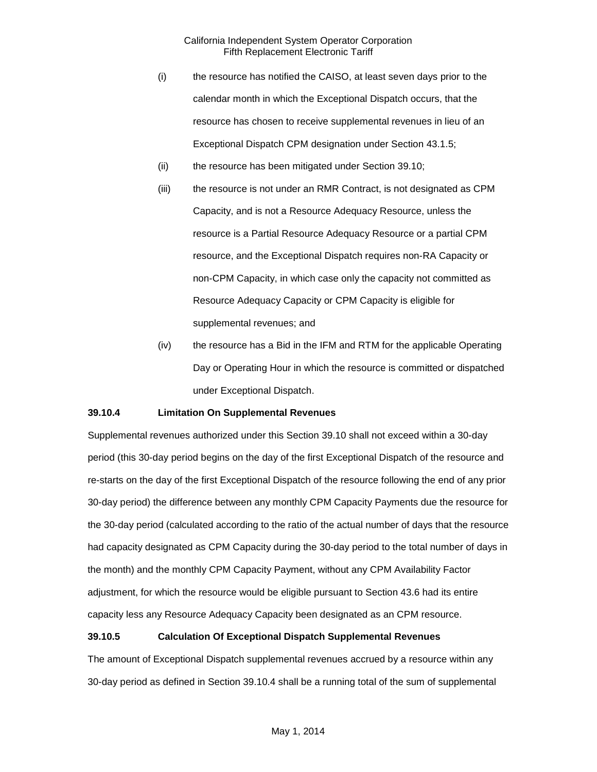- (i) the resource has notified the CAISO, at least seven days prior to the calendar month in which the Exceptional Dispatch occurs, that the resource has chosen to receive supplemental revenues in lieu of an Exceptional Dispatch CPM designation under Section 43.1.5;
- (ii) the resource has been mitigated under Section 39.10;
- (iii) the resource is not under an RMR Contract, is not designated as CPM Capacity, and is not a Resource Adequacy Resource, unless the resource is a Partial Resource Adequacy Resource or a partial CPM resource, and the Exceptional Dispatch requires non-RA Capacity or non-CPM Capacity, in which case only the capacity not committed as Resource Adequacy Capacity or CPM Capacity is eligible for supplemental revenues; and
- (iv) the resource has a Bid in the IFM and RTM for the applicable Operating Day or Operating Hour in which the resource is committed or dispatched under Exceptional Dispatch.

#### <span id="page-25-0"></span>**39.10.4 Limitation On Supplemental Revenues**

Supplemental revenues authorized under this Section 39.10 shall not exceed within a 30-day period (this 30-day period begins on the day of the first Exceptional Dispatch of the resource and re-starts on the day of the first Exceptional Dispatch of the resource following the end of any prior 30-day period) the difference between any monthly CPM Capacity Payments due the resource for the 30-day period (calculated according to the ratio of the actual number of days that the resource had capacity designated as CPM Capacity during the 30-day period to the total number of days in the month) and the monthly CPM Capacity Payment, without any CPM Availability Factor adjustment, for which the resource would be eligible pursuant to Section 43.6 had its entire capacity less any Resource Adequacy Capacity been designated as an CPM resource.

#### <span id="page-25-1"></span>**39.10.5 Calculation Of Exceptional Dispatch Supplemental Revenues**

The amount of Exceptional Dispatch supplemental revenues accrued by a resource within any 30-day period as defined in Section 39.10.4 shall be a running total of the sum of supplemental